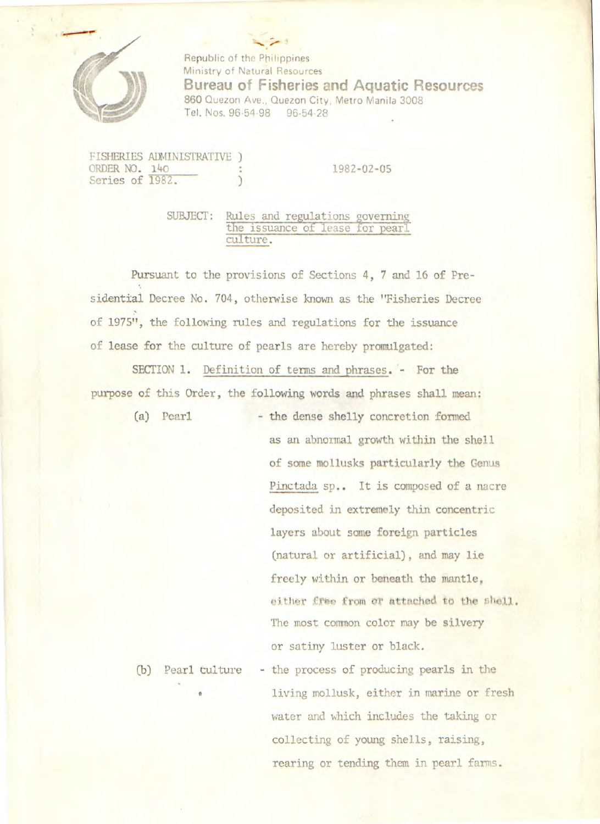

Republic of the Philippines Ministry of Natural Resources **Bureau of Fisheries and Aquatic Resources**  860 Quezon Ave., Quezon City, Metro Manila 3008 Tel. Nos. 96-54-98 96-54-28

FISHERIES ADMINISTRATIVE ) ORDER NO. 140 : 1982-02-05 Series of 1982.

SUBJECT: Rules and regulations governin the issuance of lease for pearl culture.

Pursuant to the provisions of Sections 4, 7 and 16 of Presidential Decree No. 704, otherwise known as the "Fisheries Decree Of 1975**11**, the following rules and regulations for the issuance of lease for the culture of pearls are hereby promulgated:

SECTION 1. Definition of terms and phrases. - For the purpose of this Order, the following words and phrases shall mean:

(a) Pearl - the dense shelly concretion formed as an abnormal growth within the shell of some mollusks particularly the Genus Pinctada sp.. It is composed of a nacre deposited in extremely thin concentric layers about some foreign particles (natural or artificial), and may lie freely within or beneath the mantle, either free from or attached to the shell. The most common color may be silvery or satiny luster or black.

(b) Pearl culture - the process of producing pearls in the living mollusk, either in marine or fresh water and which includes the taking or collecting of young shells, raising, rearing or tending them in pearl farms.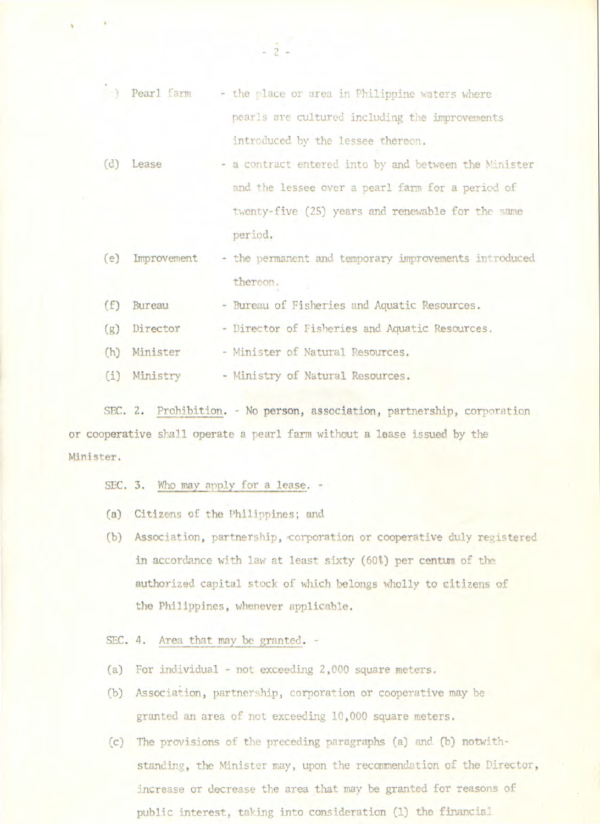|     | (c) Pearl farm | - the place or area in Philippine waters where        |
|-----|----------------|-------------------------------------------------------|
|     |                | pearls are cultured including the improvements        |
|     |                | introduced by the lessee thereon.                     |
| (d) | Lease          | - a contract entered into by and between the Minister |
|     |                | and the lessee over a pearl farm for a period of      |
|     |                | twenty-five (25) years and renewable for the same     |
|     |                | period.                                               |
| (e) | Improvement    | - the permanent and temporary improvements introduced |
|     |                | thereon.                                              |
| (f) | Bureau         | - Bureau of Fisheries and Aquatic Resources.          |
| (g) | Director       | - Director of Fisheries and Aquatic Resources.        |
| (h) | Minister       | - Minister of Natural Resources.                      |

 $-2$  -

(i) Ministry - Ministry of Natural Resources.

SEC. 2. Prohibition. - No person, association, partnership, corporation or cooperative shall operate a pearl farm without a lease issued by the Minister.

SEC. 3. Who may apply for a lease. -

- (a) Citizens of the Philippines; and
- (b) Association, partnership, 'corporation or cooperative duly registered in accordance with law at least sixty (60%) per centum of the authorized capital stock of which belongs wholly **to** citizens of the Philippines, whenever applicable.

SEC. 4. Area that may be granted. -

- (a) For individual not exceeding 2,000 square meters.
- (b) Association, partnership, corporation or cooperative may be granted an area of not exceeding 10,000 square meters.
- (c) The provisions of the preceding paragraphs (a) and (b) notwithstanding, the Minister may, upon the recommendation of the Director, increase or decrease the area that may be granted for reasons of public interest, taking into consideration (1) the financial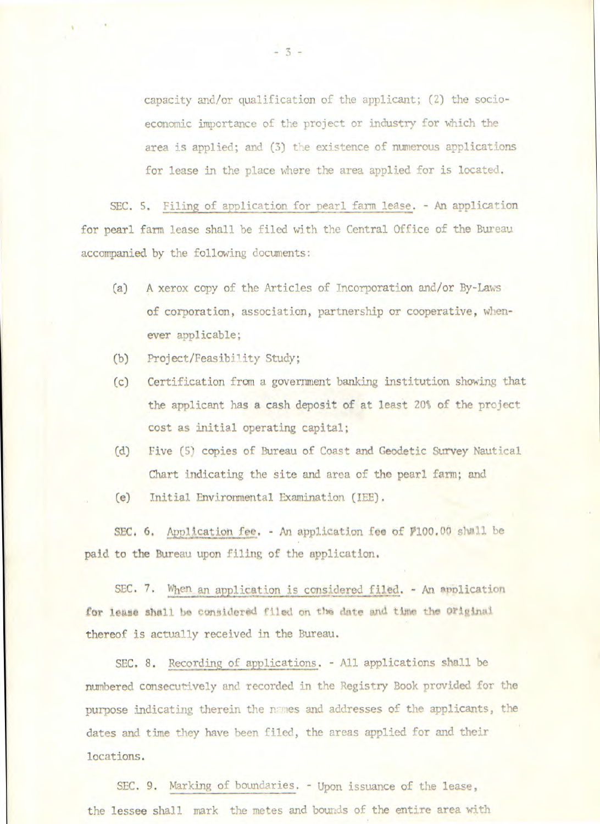capacity and/or qualification of the applicant; (2) the socioeconomic importance of the project or industry for which the area is applied; and (3) the existence of numerous applications for lease in the place where the area applied for is located.

SEC. 5. Filing of application for pearl farm lease. - An application for pearl farm lease shall be filed with the Central Office of the Bureau accompanied by the following documents:

- (a) A xerox copy of the Articles of Incorporation and/or By-Laws of corporation, association, partnership or cooperative, whenever applicable;
- (b) Project/Feasibility Study;
- (c) Certification from a government banking institution showing that the applicant has a cash deposit of at least 20% of the project cost as initial operating capital;
- (d) Five (5) copies of Bureau of Coast and Geodetic Survey Nautical Chart indicating the site and area of the pearl farm; and
- (e) Initial Environmental Examination (lEE).

SEC. 6. Application fee. - An application fee of P100.00 shall be paid to the Bureau upon filing of the application.

SEC. 7. When an application is considered filed. - An application for lease shall be considered filed on the date and time the Original thereof is actually received in the Bureau.

SEC. 8. Recording of applications. - All applications shall be numbered consecutively and recorded in the Registry Book provided for the purpose indicating therein the names and addresses of the applicants, the dates and time they have been filed, the areas applied for and their locations.

SEC. 9. Marking of boundaries. - Upon issuance of the lease, the lessee shall mark the metes and bounds of the entire area with

-3-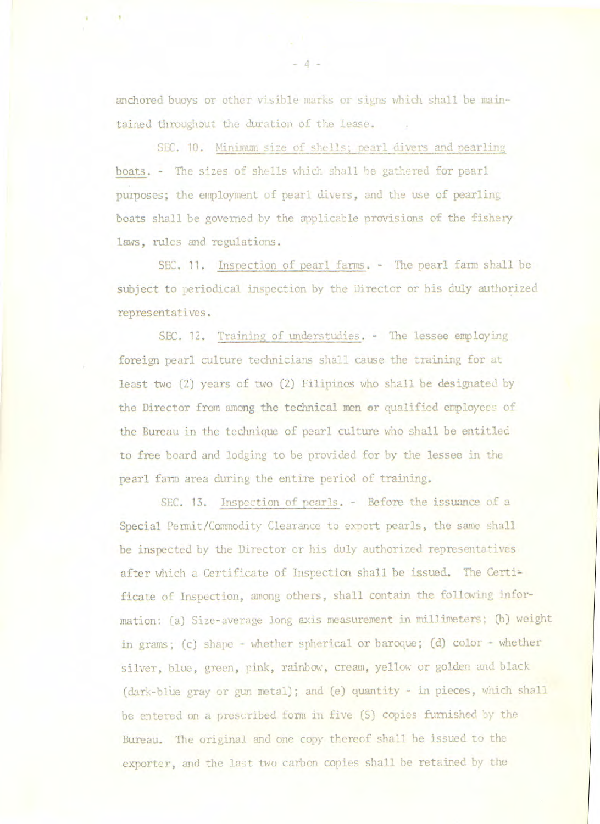anchored buoys or other visible marks or signs which shall he maintained throughout the duration of the lease.

SEC. 10. Minimum size of shells; pearl divers and pearling boats. - The sizes of shells which shall he gathered for pearl purposes; the employment of pearl divers, and the use of pearling boats shall be governed by the applicable provisions of the fishery laws, rules and regulations.

SEC. 11. Inspection of pearl farms. - The pearl farm shall be subject to periodical inspection by the Director or his duly authorized representatives.

SEC. 12. Training of understudies. - The lessee employing foreign pearl culture technicians shall cause the training for at least two (2) years of two (2) Filipinos who shall be designated by the Director from among the technical men **or** qualified employees of the Bureau in the technique of pearl culture who shall be entitled to free board and lodging to be provided for by the lessee in the pearl farm area during the entire period of training.

SEC. 13. Inspection of pearls. - Before the issuance of a Special Permit/Commodity Clearance to export pearls, the same shall be inspected by the Director or his duly authorized representatives after which a Certificate of Inspection shall be issued. The Certificate of Inspection, among others, shall contain the following information: (a) Size-average long axis measurement in millimeters; (b) weight in grams; (c) shape - whether spherical or baroque; (d) color - whether silver, blue, green, pink, rainbow, cream, yellow or golden and black (dark-blue gray or gun metal); and (e) quantity - in pieces, which shall be entered on a prescribed form in five *(5)* copies furnished by the Bureau. The original and one copy thereof shall be issued to the exporter, and the last two carbon copies shall be retained by the

-4-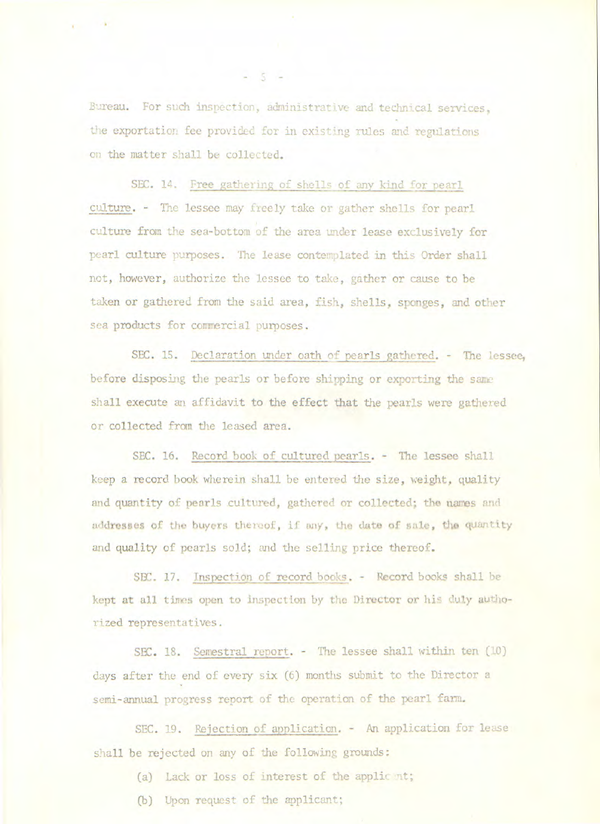Bureau. For such inspection, administrative and technical services, the exportation fee provided for in existing rules and regulations on the matter shall be collected.

SEC. 14. Free gathering of shells of any kind for pearl culture. - The lessee may freely take or gather shells for pearlculture from the sea-bottom of the area under lease exclusively for pearl culture purposes. The lease contemplated in this Order shall not, however, authorize the lessee to take, gather or cause to he taken or gathered from the said area, fish, shells, sponges, and other sea products for commercial purposes.

SEC. 15. Declaration under oath of pearls gathered. - The lessee, before disposing the pearls or before shipping or exporting the sane shall execute an affidavit to the effect that the pearls were gathered or collected from the leased area.

SEC. 16. Record book of cultured pearls. - The lessee shall keep a record hook wherein shall he entered the *size,* weight, quality and quantity of pearls cultured, gathered or collected; the names and addresses of the buyers thereof, if any, the date of sale, the quantity and quality of pearls sold; and the selling price thereof.

SEC. 17. Inspection of record books. - Record books shall be kept at all times open to inspection by the Director or his duly authorized representatives.

SEC. 18. Semestral report. - The lessee shall within ten (10) days after the end of every six (6) months submit to the Director a semi-annual progress report of the operation of the pearl farm.

SEC. 19. Rejection of application. - An application for lease shall be rejected on any of the following grounds:

(a) Lack or loss of interest of the applic nt;

(b) Upon request of the applicant;

 $-5$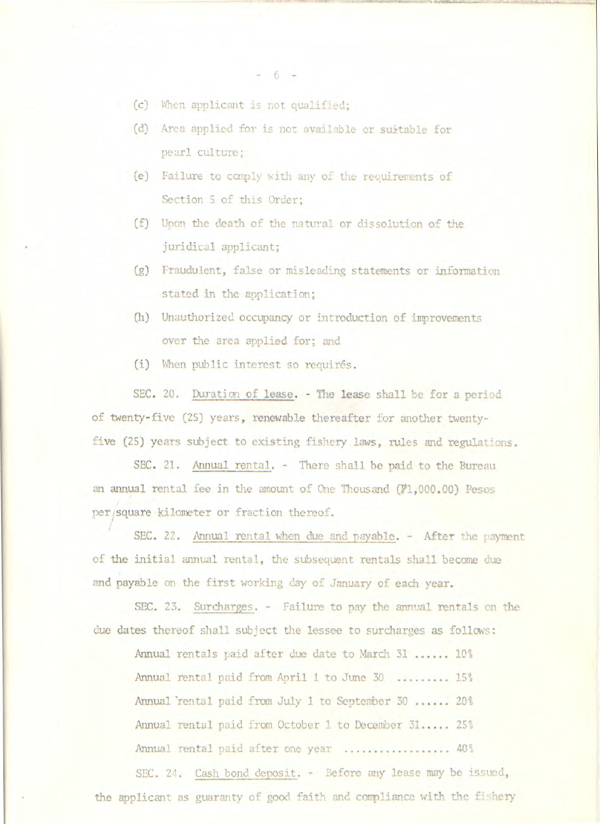• (c) When applicant is not qualified;

- (d) Area applied for is not available or suitable pearl culture;
- (e) Failure to comply with any of the requirements Section 5 of this Order;
- (f) Upon the death of the natural or dissolution o juridical applicant;
- (g) Fraudulent, false or misleading statements or stated in the application;
- (h) Unauthorized occupancy or introduction of improvements over the area applied for; and
- (i) When public interest so requirés.

SEC. 20. Duration of lease. - The lease shall be for a period of twenty-five (25) years, renewable thereafter for another twentyfive (25) years subject to existing fishery laws, rules and regulations.

SEC. 21. Annual rental. - There shall be paid to the Bureau an annual rental fee in the amount of One Thousand (1,000.00) Pesos per/square kilometer or fraction thereof.

SEC. 22. Annual rental when due and payable. - After the payment of the initial annual rental, the subsequent rentals shall become due and payable on the first working day of January of each year.

SEC. 23. Surcharges. - Failure to pay the annual rentals on the due dates thereof shall subject the lessee to surcharges as follows:

Annual rentals paid after due date to March 31 ...... 10% Annual rental paid from April 1 to June 30 .........15% Annual 'rental paid from July 1 to Septenber 30 ......20% Annual rental paid from October 1 to December 31..... 25% Annual rental paid after one year ................... 40%

SEC. 21. Cash bond deposit. - Before any lease may be issued, the applicant as guaranty of good faith and compliance with the fishery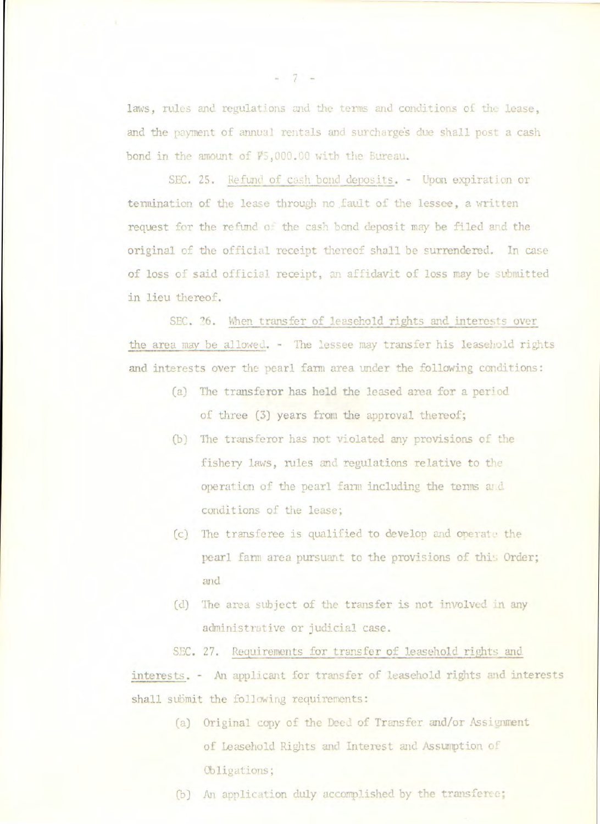laws, rules and regulations and the terms and conditions of the lease, and the payment of annual rentals and surcharges due shall post a cash bond in the amount of  $V_5,000.00$  with the Bureau.

SEC. 25. Refund of cash bond deposits. - Upon expiration or termination of the lease through no fault of the lessee, a written request for the refund o.. the cash bond deposit may be *filed* and the original of the official receipt *thereof shall be* surrendered. In case of loss of said official receipt, an affidavit of loss may be submitted in lieu thereof.

SEC. 26. When *transfer* of leasehold rights and interests over the area may be allowed. - The lessee may transfer his leasehold rights and interests over the pearl farm area under the following conditions:

- (a) The transferor has held the leased area for a period of three (3) years from the approval thereof;
- *(b) The* transferor has not violated any provisions of the fishery laws, rules and regulations relative to the operation of the pearl farm including the terms and conditions of the lease;
- (c) The transferee is qualified to develop and operate the pearl farm area pursuant to the provisions of this Order; and
- (d) The area subject of the transfer is not involved in any administrative or judicial case.

SEC. 27. Requirements for transfer of leasehold rights and interests. - An applicant for transfer of leasehold rights and interests shall submit the following requirements:

- (a) Original copy of the Deed of Transfer and/or Assignment of Leasehold Rights and interest and Assumption of Obligations;
- (b) An application duly accomplished by *the transferee;*

-7-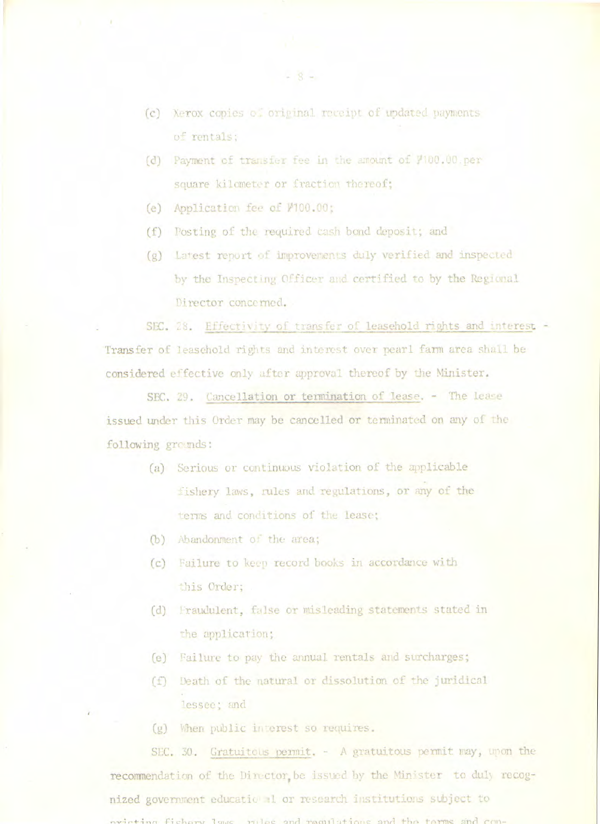- (c) Xerox copies of original receipt of updated payments of rentals;
- (d) Payment of transfer fee in the amount of  $7100.00$ .per square kilometer or fraction thereof;
- (e) Application fee of  $V100.00$ ;
- (f) Posting of the required Cash bond deposit; and
- (g) Latest report of improvements duly verified and inspected by the Inspecting Officer and certified to by the Regional Director concerned.

SEC. 28. Effectivity of transfer of leasehold rights and interest -Transfer of leasehold rights and interest over pearl farm area shall be considered effective only after approval thereof by the Minister.

SEC. 29. Cancellation or termination of lease. - The lease issued under this Order may be cancelled or terminated on any of the following grounds:

- (a) Serious or continuous violation of the applicable fishery laws, rules and regulations, or any of the terms and conditions of the lease;
- (b) Abandonment of the area;
- (c) Failure to keep record hooks in accordance with .his Order;
- (d) Praudulent, false or misleading statements stated in the application;
- (e) Failure to pay the annual rentals and surcharges;
- (f) Death of the natural or dissolution of the Juridical lessee; and
- (g) When public interest so requires.

SEC. 30. Gratuitous permit. - A gratuitous permit may, upon the recommendation of the Dinector, be issued by the Minister to duly recognized government educatic al or research institutions subject to orieting fishary laws rules and regulations and the terms and com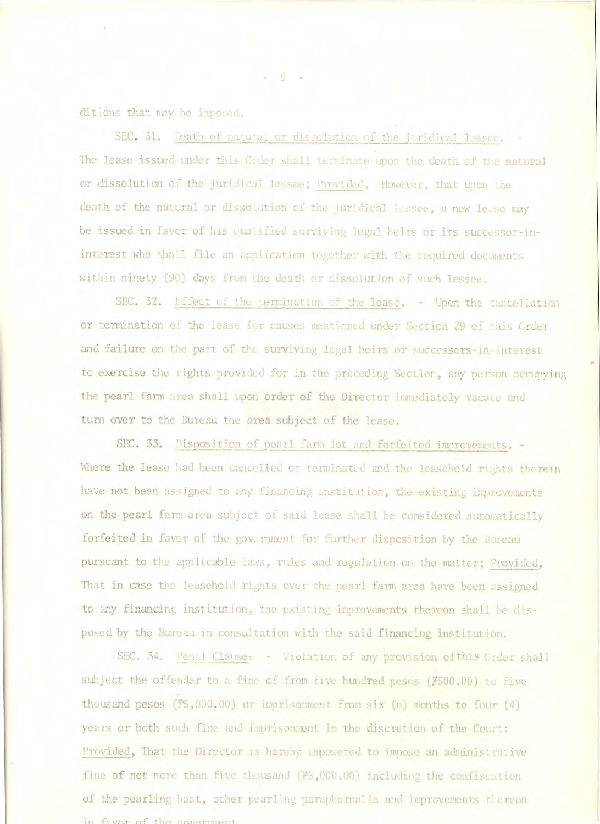ditions that may be imposed.

SEC. 31. Death of natural or dissolution of the juridical lessee. The lease issued under this Order shall terminate upon the death of the natural or dissolution of the juridical lessee; Provided, However, that upon the death of the natural or dissolution of the juridical lessee, a new lease may be issued in favor of his qualified surviving legal heirs or its successor-ininterest who shall file an application together with the required documents within ninety (90) days from the death or dissolution of such lessee.

SEC. 32. Effect of the termination of the lease. - Upon the cancellation or termination of the lease for causes mentioned under Section 29 of this Order and failure on the part of the surviving legal heirs or successors-in-interest to exercise the rights provided for in the preceding Section, any person occupying the pearl farm area shall upon order of the Director immediately vacate and turn over to the Bureau the area subject of the lease.

SEC. 33. Disposition of pearl farm lot and forfeited improvements. -Where the lease had been cancelled or terminated and the leasehold rights therein have not been assigned to any financing institution, the existing improvements on the pearl farm area subject of said lease shall be considered automatically forfeited in favor of the government for further disposition by the Bureau pursuant to the applicable laws, rules and regulation on the matter; Provided, That in case the leasehold rights over the pearl farm area have been assigned to any financing institution, the existing improvements thereon shall be disposed by the Bureau in consultation with the said financing institution.

SEC. 34. Penal Clause: - Violation of any provision of this Order shall subject the offender to a fine of from five hundred pesos (P500.00) to five thousand pesos (\$5,000.00) or imprisonment from six (6) months to four (4) years or both such fine and imprisonment in the discretion of the Court: Provided, That the Director is hereby empowered to impose an administrative fine of not more than five thousand (#5,000.00) including the confiscation of the pearling boat, other pearling paraphermalia and improvements thereon in favor of the covernment

 $-9 -$